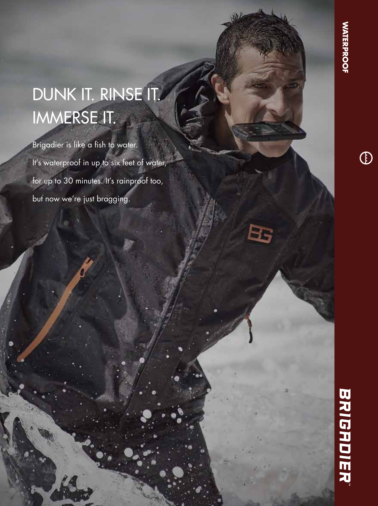## DUNK IT. RINSE IT. IMMERSE IT.

Brigadier is like a fish to water. It's waterproof in up to six feet of water, for up to 30 minutes. It's rainproof too, but now we're just bragging.

Bs

 $\bigcirc$